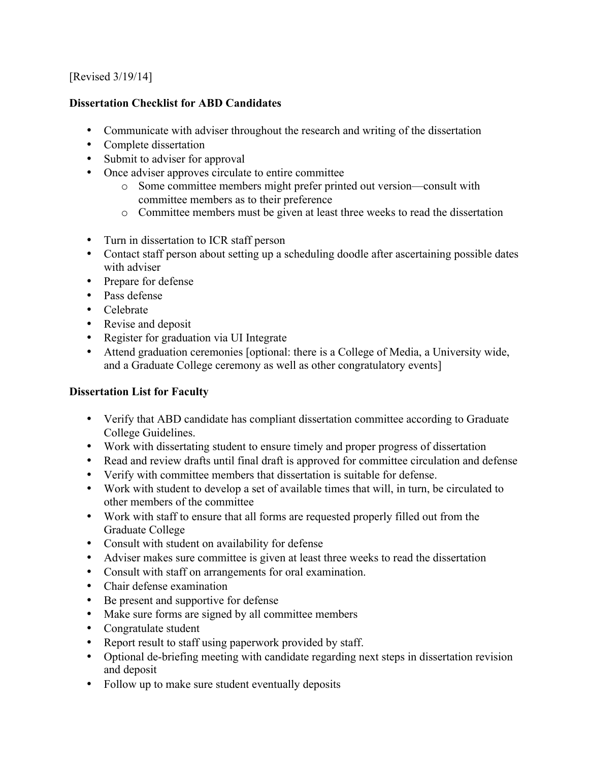## [Revised 3/19/14]

## **Dissertation Checklist for ABD Candidates**

- Communicate with adviser throughout the research and writing of the dissertation
- Complete dissertation
- Submit to adviser for approval
- Once adviser approves circulate to entire committee
	- o Some committee members might prefer printed out version—consult with committee members as to their preference
	- o Committee members must be given at least three weeks to read the dissertation
- Turn in dissertation to ICR staff person
- Contact staff person about setting up a scheduling doodle after ascertaining possible dates with adviser
- Prepare for defense
- Pass defense
- Celebrate
- Revise and deposit
- Register for graduation via UI Integrate
- Attend graduation ceremonies [optional: there is a College of Media, a University wide, and a Graduate College ceremony as well as other congratulatory events]

## **Dissertation List for Faculty**

- Verify that ABD candidate has compliant dissertation committee according to Graduate College Guidelines.
- Work with dissertating student to ensure timely and proper progress of dissertation
- Read and review drafts until final draft is approved for committee circulation and defense
- Verify with committee members that dissertation is suitable for defense.
- Work with student to develop a set of available times that will, in turn, be circulated to other members of the committee
- Work with staff to ensure that all forms are requested properly filled out from the Graduate College
- Consult with student on availability for defense
- Adviser makes sure committee is given at least three weeks to read the dissertation
- Consult with staff on arrangements for oral examination.
- Chair defense examination
- Be present and supportive for defense
- Make sure forms are signed by all committee members
- Congratulate student
- Report result to staff using paperwork provided by staff.
- Optional de-briefing meeting with candidate regarding next steps in dissertation revision and deposit
- Follow up to make sure student eventually deposits